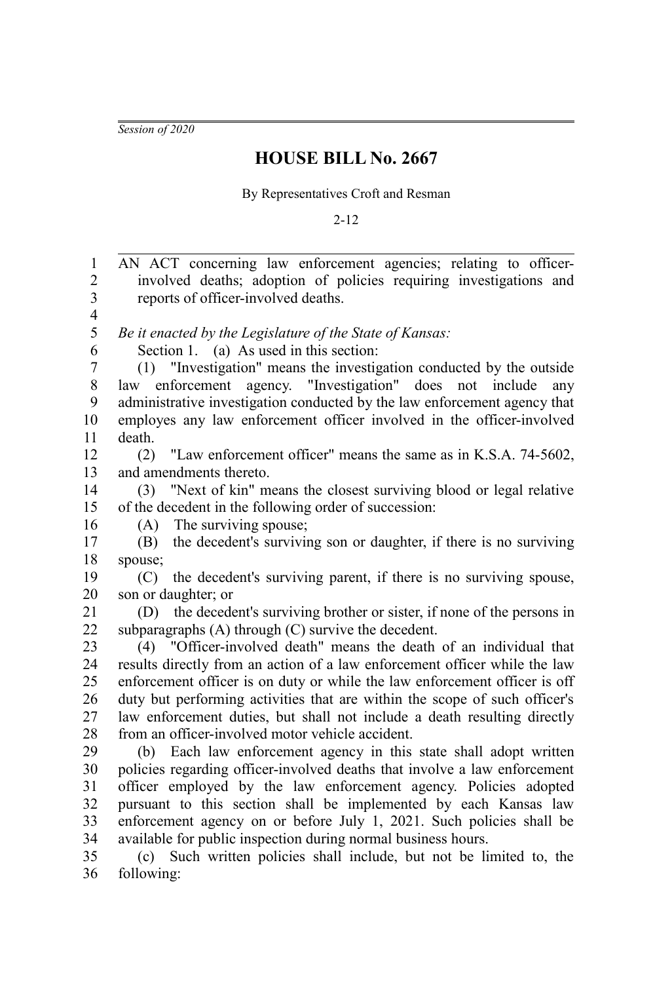*Session of 2020*

## **HOUSE BILL No. 2667**

By Representatives Croft and Resman

2-12

AN ACT concerning law enforcement agencies; relating to officerinvolved deaths; adoption of policies requiring investigations and reports of officer-involved deaths. *Be it enacted by the Legislature of the State of Kansas:* Section 1. (a) As used in this section: (1) "Investigation" means the investigation conducted by the outside law enforcement agency. "Investigation" does not include any administrative investigation conducted by the law enforcement agency that employes any law enforcement officer involved in the officer-involved death. (2) "Law enforcement officer" means the same as in K.S.A. 74-5602, and amendments thereto. (3) "Next of kin" means the closest surviving blood or legal relative of the decedent in the following order of succession: (A) The surviving spouse; (B) the decedent's surviving son or daughter, if there is no surviving spouse; (C) the decedent's surviving parent, if there is no surviving spouse, son or daughter; or (D) the decedent's surviving brother or sister, if none of the persons in subparagraphs (A) through (C) survive the decedent. (4) "Officer-involved death" means the death of an individual that results directly from an action of a law enforcement officer while the law enforcement officer is on duty or while the law enforcement officer is off duty but performing activities that are within the scope of such officer's law enforcement duties, but shall not include a death resulting directly from an officer-involved motor vehicle accident. (b) Each law enforcement agency in this state shall adopt written policies regarding officer-involved deaths that involve a law enforcement officer employed by the law enforcement agency. Policies adopted pursuant to this section shall be implemented by each Kansas law enforcement agency on or before July 1, 2021. Such policies shall be available for public inspection during normal business hours. (c) Such written policies shall include, but not be limited to, the following: 1 2 3 4 5 6 7 8 9 10 11 12 13 14 15 16 17 18 19 20 21 22 23 24 25 26 27 28 29 30 31 32 33 34 35 36